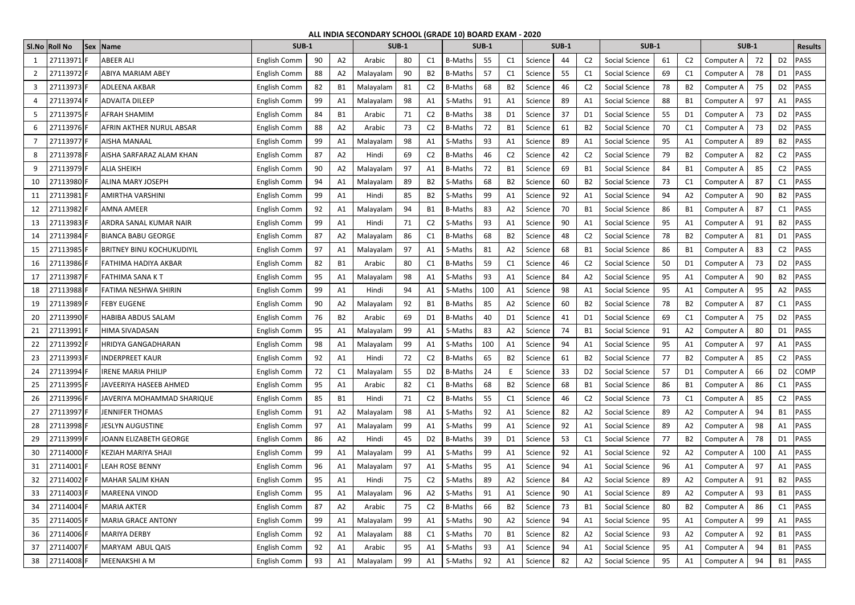|    | SI.No Roll No | Sex   Name                       | <b>SUB-1</b> |    |                | <b>SUB-1</b> |    |                | <b>SUB-1</b>   |     |                |         | <b>SUB-1</b> |                | <b>SUB-1</b>   |    |                | <b>SUB-1</b> |     |                | <b>Results</b> |
|----|---------------|----------------------------------|--------------|----|----------------|--------------|----|----------------|----------------|-----|----------------|---------|--------------|----------------|----------------|----|----------------|--------------|-----|----------------|----------------|
|    | 27113971      | <b>ABEER ALI</b>                 | English Comm | 90 | A <sub>2</sub> | Arabic       | 80 | C1             | <b>B-Maths</b> | 55  | C1             | Science | 44           | C <sub>2</sub> | Social Science | 61 | C <sub>2</sub> | Computer A   | 72  | D <sub>2</sub> | PASS           |
|    | 27113972      | <b>ABIYA MARIAM ABEY</b>         | English Comm | 88 | A <sub>2</sub> | Malayalam    | 90 | B2             | <b>B-Maths</b> | 57  | C1             | Science | 55           | C <sub>1</sub> | Social Science | 69 | C1             | Computer A   | 78  | D1             | PASS           |
| 3  | 27113973 F    | <b>ADLEENA AKBAR</b>             | English Comm | 82 | B <sub>1</sub> | Malayalam    | 81 | C <sub>2</sub> | <b>B-Maths</b> | 68  | <b>B2</b>      | Science | 46           | C <sub>2</sub> | Social Science | 78 | <b>B2</b>      | Computer A   | 75  | D <sub>2</sub> | PASS           |
|    | 27113974      | <b>ADVAITA DILEEP</b>            | English Comm | 99 | A1             | Malayalam    | 98 | A1             | S-Maths        | 91  | A1             | Science | 89           | A1             | Social Science | 88 | <b>B1</b>      | Computer A   | 97  | A1             | PASS           |
|    | 27113975F     | <b>AFRAH SHAMIM</b>              | English Comm | 84 | B <sub>1</sub> | Arabic       | 71 | C <sub>2</sub> | <b>B-Maths</b> | 38  | D <sub>1</sub> | Science | 37           | D <sub>1</sub> | Social Science | 55 | D1             | Computer A   | 73  | D <sub>2</sub> | PASS           |
|    | 27113976 F    | <b>AFRIN AKTHER NURUL ABSAR</b>  | English Comm | 88 | A2             | Arabic       | 73 | C <sub>2</sub> | <b>B-Maths</b> | 72  | <b>B1</b>      | Science | 61           | B <sub>2</sub> | Social Science | 70 | C1             | Computer A   | 73  | D <sub>2</sub> | PASS           |
|    | 27113977F     | <b>AISHA MANAAL</b>              | English Comm | 99 | A <sub>1</sub> | Malayalam    | 98 | A1             | S-Maths        | 93  | A1             | Science | 89           | A1             | Social Science | 95 | A1             | Computer A   | 89  | <b>B2</b>      | PASS           |
|    | 27113978      | AISHA SARFARAZ ALAM KHAN         | English Comm | 87 | A2             | Hindi        | 69 | C <sub>2</sub> | <b>B-Maths</b> | 46  | C <sub>2</sub> | Science | 42           | C <sub>2</sub> | Social Science | 79 | <b>B2</b>      | Computer A   | 82  | C <sub>2</sub> | PASS           |
| 9  | 27113979F     | <b>ALIA SHEIKH</b>               | English Comm | 90 | A <sub>2</sub> | Malayalam    | 97 | A1             | <b>B-Maths</b> | 72  | <b>B1</b>      | Science | 69           | <b>B1</b>      | Social Science | 84 | <b>B1</b>      | Computer A   | 85  | C <sub>2</sub> | PASS           |
| 10 | 27113980      | <b>ALINA MARY JOSEPH</b>         | English Comm | 94 | A1             | Malayalam    | 89 | <b>B2</b>      | S-Maths        | 68  | <b>B2</b>      | Science | 60           | <b>B2</b>      | Social Science | 73 | C1             | Computer A   | 87  | C <sub>1</sub> | PASS           |
|    | 27113981      | <b>AMIRTHA VARSHINI</b>          | English Comm | 99 | A1             | Hindi        | 85 | <b>B2</b>      | S-Maths        | 99  | A1             | Science | 92           | A1             | Social Science | 94 | A2             | Computer A   | 90  | B <sub>2</sub> | PASS           |
| 12 | 27113982      | <b>AMNA AMEER</b>                | English Comm | 92 | A <sub>1</sub> | Malayalam    | 94 | <b>B1</b>      | <b>B-Maths</b> | 83  | A2             | Science | 70           | B <sub>1</sub> | Social Science | 86 | <b>B1</b>      | Computer A   | 87  | C <sub>1</sub> | PASS           |
|    | 27113983      | ARDRA SANAL KUMAR NAIR           | English Comm | 99 | A1             | Hindi        | 71 | C <sub>2</sub> | S-Maths        | 93  | A1             | Science | 90           | A1             | Social Science | 95 | A1             | Computer A   | 91  | <b>B2</b>      | PASS           |
| 14 | 27113984      | <b>BIANCA BABU GEORGE</b>        | English Comm | 87 | A <sub>2</sub> | Malayalam    | 86 | C1             | <b>B-Maths</b> | 68  | <b>B2</b>      | Science | 48           | C <sub>2</sub> | Social Science | 78 | <b>B2</b>      | Computer A   | 81  | D1             | PASS           |
| 15 | 27113985      | <b>BRITNEY BINU KOCHUKUDIYIL</b> | English Comm | 97 | A1             | Malayalam    | 97 | A1             | S-Maths        | 81  | A2             | Science | 68           | <b>B1</b>      | Social Science | 86 | <b>B1</b>      | Computer A   | 83  | C <sub>2</sub> | PASS           |
| 16 | 27113986      | <b>FATHIMA HADIYA AKBAR</b>      | English Comm | 82 | <b>B1</b>      | Arabic       | 80 | C <sub>1</sub> | <b>B-Maths</b> | 59  | C1             | Science | 46           | C <sub>2</sub> | Social Science | 50 | D1             | Computer A   | 73  | D <sub>2</sub> | PASS           |
|    | 27113987      | <b>FATHIMA SANA KT</b>           | English Comm | 95 | A1             | Malayalam    | 98 | A1             | S-Maths        | 93  | A1             | Science | 84           | A <sub>2</sub> | Social Science | 95 | A1             | Computer A   | 90  | <b>B2</b>      | PASS           |
| 18 | 27113988      | <b>FATIMA NESHWA SHIRIN</b>      | English Comm | 99 | A1             | Hindi        | 94 | A1             | S-Maths        | 100 | A1             | Science | 98           | A <sub>1</sub> | Social Science | 95 | A1             | Computer A   | 95  | A <sub>2</sub> | PASS           |
| 19 | 27113989      | <b>FEBY EUGENE</b>               | English Comm | 90 | A <sub>2</sub> | Malayalam    | 92 | <b>B1</b>      | <b>B-Maths</b> | 85  | A2             | Science | 60           | B <sub>2</sub> | Social Science | 78 | <b>B2</b>      | Computer A   | 87  | C <sub>1</sub> | PASS           |
| 20 | 27113990      | <b>HABIBA ABDUS SALAM</b>        | English Comm | 76 | <b>B2</b>      | Arabic       | 69 | D1             | <b>B-Maths</b> | 40  | D <sub>1</sub> | Science | 41           | D1             | Social Science | 69 | C1             | Computer A   | 75  | D <sub>2</sub> | PASS           |
| 21 | 27113991      | <b>HIMA SIVADASAN</b>            | English Comm | 95 | A1             | Malayalam    | 99 | A1             | S-Maths        | 83  | A2             | Science | 74           | <b>B1</b>      | Social Science | 91 | A2             | Computer A   | 80  | D1             | PASS           |
| 22 | 27113992      | HRIDYA GANGADHARAN               | English Comm | 98 | A1             | Malayalam    | 99 | A1             | S-Maths        | 100 | A1             | Science | 94           | A1             | Social Science | 95 | A1             | Computer A   | 97  | A1             | PASS           |
| 23 | 27113993 F    | <b>INDERPREET KAUR</b>           | English Comm | 92 | Α1             | Hindi        | 72 | C <sub>2</sub> | B-Maths        | 65  | <b>B2</b>      | Science | 61           | <b>B2</b>      | Social Science | 77 | B <sub>2</sub> | Computer A   | 85  |                | PASS           |
| 24 | 27113994      | <b>IRENE MARIA PHILIP</b>        | English Comm | 72 | C1             | Malayalam    | 55 | D <sub>2</sub> | <b>B-Maths</b> | 24  |                | Science | 33           | D <sub>2</sub> | Social Science | 57 | D <sub>1</sub> | Computer A   | 66  | D <sub>2</sub> | <b>COMP</b>    |
| 25 | 27113995      | JAVEERIYA HASEEB AHMED           | English Comm | 95 | A1             | Arabic       | 82 | C1             | <b>B-Maths</b> | 68  | <b>B2</b>      | Science | 68           | <b>B1</b>      | Social Science | 86 | <b>B1</b>      | Computer A   | 86  | C1             | PASS           |
| 26 | 27113996      | JAVERIYA MOHAMMAD SHARIQUE       | English Comm | 85 | <b>B1</b>      | Hindi        | 71 | C <sub>2</sub> | <b>B-Maths</b> | 55  | C1             | Science | 46           | C <sub>2</sub> | Social Science | 73 | C1             | Computer A   | 85  | C <sub>2</sub> | PASS           |
| 27 | 27113997      | <b>JENNIFER THOMAS</b>           | English Comm | 91 | A <sub>2</sub> | Malayalam    | 98 | A1             | S-Maths        | 92  | A1             | Science | 82           | A <sub>2</sub> | Social Science | 89 | A2             | Computer A   | 94  | B1             | <b>PASS</b>    |
| 28 | 27113998F     | JESLYN AUGUSTINE                 | English Comm | 97 | A1             | Malayalam    | 99 | A1             | S-Maths        | 99  | A <sub>1</sub> | Science | 92           | A1             | Social Science | 89 | A2             | Computer A   | 98  | A1             | PASS           |
| 29 | 27113999      | JOANN ELIZABETH GEORGE           | English Comm | 86 | A <sub>2</sub> | Hindi        | 45 | D <sub>2</sub> | <b>B-Maths</b> | 39  | D <sub>1</sub> | Science | 53           | C1             | Social Science | 77 | <b>B2</b>      | Computer A   | 78  | D1             | PASS           |
| 30 | 27114000F     | <b>KEZIAH MARIYA SHAJI</b>       | English Comm | 99 | A1             | Malayalam    | 99 | A1             | S-Maths        | 99  | A1             | Science | 92           | A1             | Social Science | 92 | A2             | Computer A   | 100 | A1             | PASS           |
| 31 | 27114001      | <b>LEAH ROSE BENNY</b>           | English Comm | 96 | A1             | Malayalam    | 97 | A1             | S-Maths        | 95  | A1             | Science | 94           | Α1             | Social Science | 96 | A1             | Computer A   | 97  | A1             | PASS           |
| 32 | 27114002      | <b>MAHAR SALIM KHAN</b>          | English Comm | 95 | A1             | Hindi        | 75 | C <sub>2</sub> | S-Maths        | 89  | A2             | Science | 84           | A2             | Social Science | 89 | A2             | Computer A   | 91  | <b>B2</b>      | PASS           |
| 33 | 27114003      | <b>MAREENA VINOD</b>             | English Comm | 95 | A1             | Malayalam    | 96 | A2             | S-Maths        | 91  | A1             | Science | 90           | A1             | Social Science | 89 | A2             | Computer A   | 93  | <b>B1</b>      | PASS           |
| 34 | 27114004      | <b>MARIA AKTER</b>               | English Comm | 87 | A2             | Arabic       | 75 | C <sub>2</sub> | <b>B-Maths</b> | 66  | <b>B2</b>      | Science | 73           | <b>B1</b>      | Social Science | 80 | <b>B2</b>      | Computer A   | 86  | C1             | <b>PASS</b>    |
| 35 | 27114005      | <b>MARIA GRACE ANTONY</b>        | English Comm | 99 | A1             | Malayalam    | 99 | A1             | S-Maths        | 90  | A2             | Science | 94           | A1             | Social Science | 95 | A1             | Computer A   | 99  | A1             | PASS           |
| 36 | 27114006      | <b>MARIYA DERBY</b>              | English Comm | 92 | A <sub>1</sub> | Malayalam    | 88 | C1             | S-Maths        | 70  | <b>B1</b>      | Science | 82           | A2             | Social Science | 93 | A2             | Computer A   | 92  | <b>B1</b>      | PASS           |
| 37 | 27114007      | MARYAM ABUL QAIS                 | English Comm | 92 | Α1             | Arabic       | 95 | A1             | S-Maths        | 93  | A1             | Science | 94           | A1             | Social Science | 95 | A1             | Computer A   | 94  | B1             | PASS           |
| 38 | 27114008      | MEENAKSHI A M                    | English Comm | 93 | A1             | Malayalam    | 99 | A1             | S-Maths        | 92  | A1             | Science | 82           | A <sub>2</sub> | Social Science | 95 | A1             | Computer A   | 94  | <b>B1</b>      | PASS           |

## **ALL INDIA SECONDARY SCHOOL (GRADE 10) BOARD EXAM - 2020**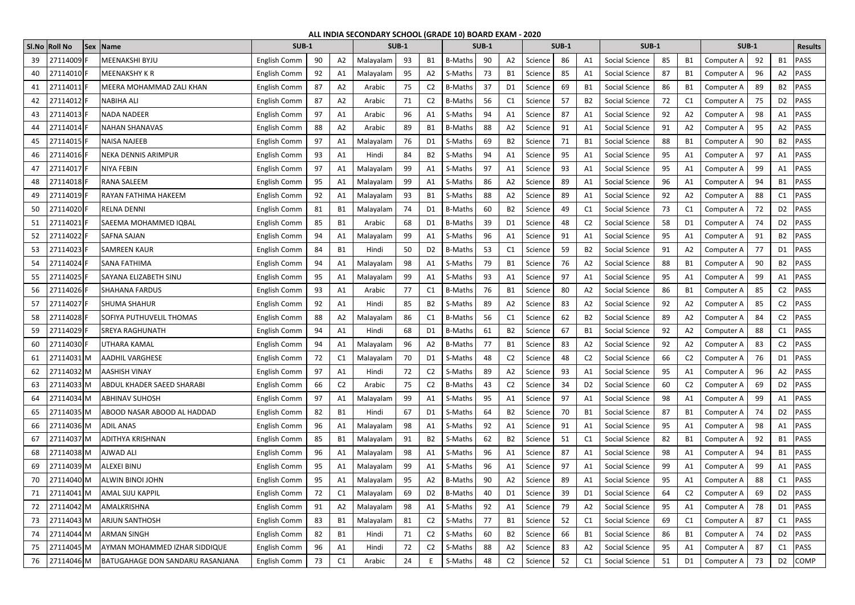## **ALL INDIA SECONDARY SCHOOL (GRADE 10) BOARD EXAM - 2020**

|    | SI.No Roll No | <b>Sex Name</b>                         | <b>SUB-1</b> |    |                | <b>SUB-1</b> |    |                | <b>SUB-1</b>   |    |                |         | <b>SUB-1</b> |                | <b>SUB-1</b>          |    |                | <b>SUB-1</b> |    |                | <b>Results</b>      |
|----|---------------|-----------------------------------------|--------------|----|----------------|--------------|----|----------------|----------------|----|----------------|---------|--------------|----------------|-----------------------|----|----------------|--------------|----|----------------|---------------------|
| 39 | 27114009      | <b>MEENAKSHI BYJU</b>                   | English Comm | 90 | A <sub>2</sub> | Malayalam    | 93 | B1             | <b>B-Maths</b> | 90 | A2             | Science | 86           | A1             | Social Science        | 85 | <b>B1</b>      | Computer A   | 92 | <b>B1</b>      | PASS                |
| 40 | 27114010      | <b>MEENAKSHY K R</b>                    | English Comm | 92 | A1             | Malayalam    | 95 | A2             | S-Maths        | 73 | <b>B1</b>      | Science | 85           | A1             | Social Science        | 87 | B1             | Computer A   | 96 | A2             | PASS                |
| 41 | 27114011      | <b>MEERA MOHAMMAD ZALI KHAN</b>         | English Comm | 87 | A2             | Arabic       | 75 | C <sub>2</sub> | <b>B-Maths</b> | 37 | D <sub>1</sub> | Science | 69           | B1             | Social Science        | 86 | B1             | Computer A   | 89 | B <sub>2</sub> | PASS                |
| 42 | 27114012      | <b>NABIHA ALI</b>                       | English Comm | 87 | A <sub>2</sub> | Arabic       | 71 | C <sub>2</sub> | <b>B-Maths</b> | 56 | C1             | Science | 57           | B <sub>2</sub> | Social Science        | 72 | C1             | Computer A   | 75 | D <sub>2</sub> | PASS                |
| 43 | 27114013      | <b>NADA NADEER</b>                      | English Comm | 97 | A1             | Arabic       | 96 | A1             | S-Maths        | 94 | A1             | Science | 87           | A <sub>1</sub> | Social Science        | 92 | A2             | Computer A   | 98 | A1             | PASS                |
| 44 | 27114014      | <b>NAHAN SHANAVAS</b>                   | English Comm | 88 | A <sub>2</sub> | Arabic       | 89 | B1             | <b>B-Maths</b> | 88 | A2             | Science | 91           | A <sub>1</sub> | Social Science        | 91 | A2             | Computer A   | 95 | A <sub>2</sub> | PASS                |
| 45 | 27114015 F    | <b>NAISA NAJEEB</b>                     | English Comm | 97 | A <sub>1</sub> | Malayalam    | 76 | D1             | S-Maths        | 69 | <b>B2</b>      | Science | 71           | - B1           | Social Science        | 88 | B1             | Computer A   | 90 | <b>B2</b>      | PASS                |
| 46 | 27114016 F    | <b>NEKA DENNIS ARIMPUR</b>              | English Comm | 93 | A1             | Hindi        | 84 | B2             | S-Maths        | 94 | A <sub>1</sub> | Science | 95           | Α1             | Social Science        | 95 | A1             | Computer A   | 97 | A1             | PASS                |
| 47 | 27114017      | NIYA FEBIN                              | English Comm | 97 | A1             | Malayalam    | 99 | A1             | S-Maths        | 97 | A1             | Science | 93           | A1             | Social Science        | 95 | A1             | Computer A   | 99 | A1             | PASS                |
| 48 | 27114018      | <b>RANA SALEEM</b>                      | English Comm | 95 | A1             | Malayalam    | 99 | A1             | S-Maths        | 86 | A2             | Science | 89           | Α1             | Social Science        | 96 | A1             | Computer A   | 94 | <b>B1</b>      | PASS                |
| 49 | 27114019      | RAYAN FATHIMA HAKEEM                    | English Comm | 92 | A1             | Malayalam    | 93 | <b>B1</b>      | S-Maths        | 88 | A <sub>2</sub> | Science | 89           | A1             | Social Science        | 92 | A2             | Computer A   | 88 | C1             | PASS                |
| 50 | 27114020      | <b>RELNA DENNI</b>                      | English Comm | 81 | <b>B1</b>      | Malayalam    | 74 | D <sub>1</sub> | <b>B-Maths</b> | 60 | B <sub>2</sub> | Science | 49           | C <sub>1</sub> | Social Science        | 73 | C1             | Computer A   | 72 | D <sub>2</sub> | PASS                |
| 51 | 27114021      | SAEEMA MOHAMMED IQBAL                   | English Comm | 85 | <b>B1</b>      | Arabic       | 68 | D <sub>1</sub> | <b>B-Maths</b> | 39 | D <sub>1</sub> | Science | 48           | C <sub>2</sub> | Social Science        | 58 | D1             | Computer A   | 74 | D <sub>2</sub> | PASS                |
| 52 | 27114022      | <b>SAFNA SAJAN</b>                      | English Comm | 94 | A <sub>1</sub> | Malayalam    | 99 | A1             | S-Maths        | 96 | A1             | Science | 91           | A1             | Social Science        | 95 | A1             | Computer A   | 91 | <b>B2</b>      | PASS                |
| 53 | 27114023      | <b>SAMREEN KAUR</b>                     | English Comm | 84 | <b>B1</b>      | Hindi        | 50 | D <sub>2</sub> | <b>B-Maths</b> | 53 | C <sub>1</sub> | Science | 59           | B <sub>2</sub> | Social Science        | 91 | A2             | Computer A   | 77 | D <sub>1</sub> | PASS                |
| 54 | 27114024      | SANA FATHIMA                            | English Comm | 94 | A <sub>1</sub> | Malayalam    | 98 | A1             | S-Maths        | 79 | <b>B1</b>      | Science | 76           | A <sub>2</sub> | Social Science        | 88 | B1             | Computer A   | 90 | <b>B2</b>      | PASS                |
| 55 | 27114025      | SAYANA ELIZABETH SINU                   | English Comm | 95 | A1             | Malayalam    | 99 | A1             | S-Maths        | 93 | A1             | Science | 97           | Α1             | Social Science        | 95 | A1             | Computer A   | 99 | A1             | PASS                |
| 56 | 27114026 F    | <b>SHAHANA FARDUS</b>                   | English Comm | 93 | A1             | Arabic       | 77 | C1             | <b>B-Maths</b> | 76 | <b>B1</b>      | Science | 80           | A <sub>2</sub> | Social Science        | 86 | B1             | Computer A   | 85 | C <sub>2</sub> | PASS                |
| 57 | 27114027      | <b>SHUMA SHAHUR</b>                     | English Comm | 92 | A1             | Hindi        | 85 | <b>B2</b>      | S-Maths        | 89 | A2             | Science | 83           | A <sub>2</sub> | Social Science        | 92 | A2             | Computer A   | 85 | C <sub>2</sub> | PASS                |
| 58 | 27114028      | <b>SOFIYA PUTHUVELIL THOMAS</b>         | English Comm | 88 | A <sub>2</sub> | Malayalam    | 86 | C <sub>1</sub> | <b>B-Maths</b> | 56 | C <sub>1</sub> | Science | 62           | B <sub>2</sub> | Social Science        | 89 | A2             | Computer A   | 84 | C <sub>2</sub> | <b>PASS</b>         |
| 59 | 27114029      | <b>SREYA RAGHUNATH</b>                  | English Comm | 94 | A1             | Hindi        | 68 | D1             | <b>B-Maths</b> | 61 | <b>B2</b>      | Science | 67           | <b>B1</b>      | Social Science        | 92 | A2             | Computer A   | 88 | C1             | PASS                |
| 60 | 27114030F     | UTHARA KAMAL                            | English Comm | 94 | A1             | Malayalam    | 96 | A2             | <b>B-Maths</b> | 77 | <b>B1</b>      | Science | 83           | A <sub>2</sub> | Social Science        | 92 | A2             | Computer A   | 83 | C <sub>2</sub> | PASS                |
| 61 | 27114031 M    | <b>AADHIL VARGHESE</b>                  | English Comm | 72 | C <sub>1</sub> | Malayalam    | 70 | D <sub>1</sub> | S-Maths        | 48 | C <sub>2</sub> | Science | 48           | C <sub>2</sub> | Social Science        | 66 | C <sub>2</sub> | Computer A   | 76 | D <sub>1</sub> | PASS                |
| 62 | 27114032M     | <b>AASHISH VINAY</b>                    | English Comm | 97 | A1             | Hindi        | 72 | C <sub>2</sub> | S-Maths        | 89 | A2             | Science | 93           | A1             | <b>Social Science</b> | 95 | A1             | Computer A   | 96 | A2             | <b>PASS</b>         |
| 63 | 27114033M     | <b>ABDUL KHADER SAEED SHARABI</b>       | English Comm | 66 | C <sub>2</sub> | Arabic       | 75 | C <sub>2</sub> | <b>B-Maths</b> | 43 | C <sub>2</sub> | Science | 34           | D <sub>2</sub> | Social Science        | 60 | C <sub>2</sub> | Computer A   | 69 | D <sub>2</sub> | PASS                |
| 64 | 27114034 M    | <b>ABHINAV SUHOSH</b>                   | English Comm | 97 | A1             | Malayalam    | 99 | A1             | S-Maths        | 95 | A1             | Science | 97           | A1             | Social Science        | 98 | A1             | Computer A   | 99 | A1             | PASS                |
| 65 | 27114035 M    | ABOOD NASAR ABOOD AL HADDAD             | English Comm | 82 | <b>B1</b>      | Hindi        | 67 | D <sub>1</sub> | S-Maths        | 64 | <b>B2</b>      | Science | 70           | <b>B1</b>      | Social Science        | 87 | <b>B1</b>      | Computer A   | 74 |                | D <sub>2</sub> PASS |
| 66 | 27114036M     | <b>ADIL ANAS</b>                        | English Comm | 96 | A <sub>1</sub> | Malayalam    | 98 | A1             | S-Maths        | 92 | A1             | Science | 91           | A1             | Social Science        | 95 | A1             | Computer A   | 98 | A1             | PASS                |
| 67 | 27114037M     | <b>ADITHYA KRISHNAN</b>                 | English Comm | 85 | <b>B1</b>      | Malayalam    | 91 | <b>B2</b>      | S-Maths        | 62 | <b>B2</b>      | Science | 51           | C1             | Social Science        | 82 | <b>B1</b>      | Computer A   | 92 | <b>B1</b>      | PASS                |
| 68 | 27114038M     | <b>AJWAD ALI</b>                        | English Comm | 96 | A <sub>1</sub> | Malayalam    | 98 | A1             | S-Maths        | 96 | A1             | Science | 87           | A1             | Social Science        | 98 | A1             | Computer A   | 94 | B1             | PASS                |
| 69 | 27114039 M    | <b>ALEXEI BINU</b>                      | English Comm | 95 | A1             | Malayalam    | 99 | A1             | S-Maths        | 96 | A1             | Science | 97           | A1             | Social Science        | 99 | A1             | Computer A   | 99 | A1             | PASS                |
| 70 | 27114040M     | <b>ALWIN BINOI JOHN</b>                 | English Comm | 95 | A1             | Malayalam    | 95 | A2             | <b>B-Maths</b> | 90 | A2             | Science | 89           | - A1           | Social Science        | 95 | A1             | Computer A   | 88 | C1             | PASS                |
| 71 | 27114041 M    | <b>AMAL SIJU KAPPIL</b>                 | English Comm | 72 | C1             | Malayalam    | 69 | D <sub>2</sub> | <b>B-Maths</b> | 40 | D <sub>1</sub> | Science | 39           | D <sub>1</sub> | Social Science        | 64 | C <sub>2</sub> | Computer A   | 69 | D <sub>2</sub> | PASS                |
| 72 | 27114042M     | AMALKRISHNA                             | English Comm | 91 | A <sub>2</sub> | Malayalam    | 98 | A1             | S-Maths        | 92 | A1             | Science | 79           | A2             | Social Science        | 95 | A1             | Computer A   | 78 |                | D1 PASS             |
| 73 | 27114043 M    | <b>ARJUN SANTHOSH</b>                   | English Comm | 83 | <b>B1</b>      | Malayalam    | 81 | C <sub>2</sub> | S-Maths        | 77 | <b>B1</b>      | Science | 52           | C1             | Social Science        | 69 | C1             | Computer A   | 87 | C1             | PASS                |
| 74 | 27114044 M    | <b>ARMAN SINGH</b>                      | English Comm | 82 | <b>B1</b>      | Hindi        | 71 | C <sub>2</sub> | S-Maths        | 60 | <b>B2</b>      | Science | 66           | - B1           | Social Science        | 86 | <b>B1</b>      | Computer A   | 74 |                | D <sub>2</sub> PASS |
| 75 | 27114045 M    | AYMAN MOHAMMED IZHAR SIDDIQUE           | English Comm | 96 | A1             | Hindi        | 72 | C <sub>2</sub> | S-Maths        | 88 | A2             | Science | 83           | A2             | Social Science        | 95 | A1             | Computer A   | 87 | C1             | PASS                |
| 76 | 27114046 M    | <b>BATUGAHAGE DON SANDARU RASANJANA</b> | English Comm | 73 | C1             | Arabic       | 24 | E.             | S-Maths        | 48 | C <sub>2</sub> | Science | 52           | C1             | Social Science        | 51 | D1             | Computer A   | 73 |                | D2 COMP             |